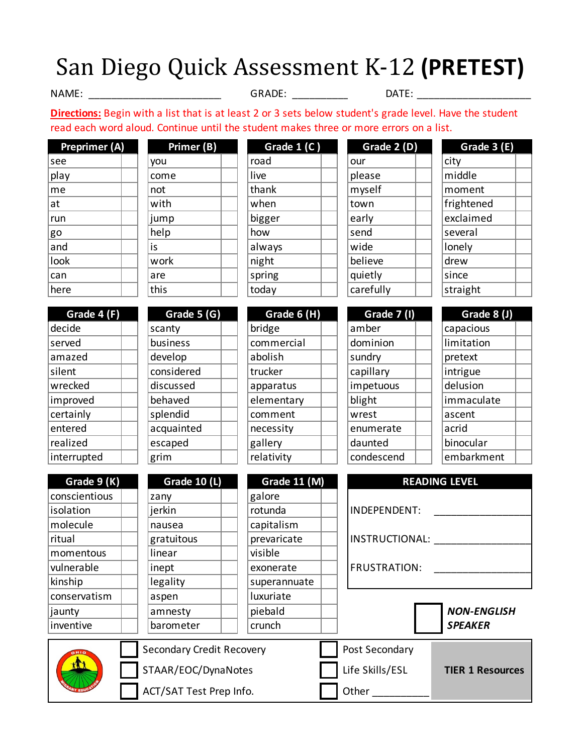## San Diego Quick Assessment K-12 **(PRETEST)**

NAME: \_\_\_\_\_\_\_\_\_\_\_\_\_\_\_\_\_\_\_\_\_\_\_\_ GRADE: \_\_\_\_\_\_\_\_\_\_\_ \_\_\_\_\_\_\_\_\_\_\_\_\_\_\_\_\_\_\_\_

DATE:

**Directions:** Begin with a list that is at least 2 or 3 sets below student's grade level. Have the student read each word aloud. Continue until the student makes three or more errors on a list.

| Preprimer (A) | Primer (B) | Grade $1(C)$ | Grade 2 (D) | Grade      |
|---------------|------------|--------------|-------------|------------|
| see           | you        | road         | our         | city       |
| play          | come       | live         | please      | middle     |
| me            | not        | thank        | myself      | moment     |
| at            | with       | when         | town        | frightened |
| run           | jump       | bigger       | early       | exclaimed  |
| go            | help       | how          | send        | several    |
| and           | is         | always       | wide        | lonely     |
| look          | work       | night        | believe     | drew       |
| can           | are        | spring       | quietly     | since      |
| here          | this       | today        | carefully   | straight   |

| you         |  |
|-------------|--|
| come        |  |
| not         |  |
| with        |  |
| jump        |  |
| help        |  |
| is          |  |
| work        |  |
| are         |  |
| this        |  |
|             |  |
| Grade 5 (G) |  |

| Grade 1 (C) |  |
|-------------|--|
| road        |  |
| live        |  |
| thank       |  |
| when        |  |
| bigger      |  |
| how         |  |
| always      |  |
| night       |  |
| spring      |  |
| today       |  |

| Grade 2 (D) |  |
|-------------|--|
| our         |  |
| please      |  |
| myself      |  |
| town        |  |
| early       |  |
| send        |  |
| wide        |  |
| believe     |  |
| quietly     |  |
| carefully   |  |

| Grade 3 (E) |  |
|-------------|--|
| city        |  |
| middle      |  |
| moment      |  |
| frightened  |  |
| exclaimed   |  |
| several     |  |
| lonely      |  |
| drew        |  |
| since       |  |
| straight    |  |

| Grade 4 (F) |  |
|-------------|--|
| decide      |  |
| served      |  |
| amazed      |  |
| silent      |  |
| wrecked     |  |
| improved    |  |
| certainly   |  |
| entered     |  |
| realized    |  |
| interrunted |  |

| ,,,,,        | ີ           | wuu y       | <b>CUICIDII</b> | <b>JUUL</b> EN |
|--------------|-------------|-------------|-----------------|----------------|
|              |             |             |                 |                |
| Grade $4(F)$ | Grade 5 (G) | Grade 6 (H) | Grade 7 (I)     | Grade 8        |
| decide       | scanty      | bridge      | amber           | capacious      |
| served       | business    | commercial  | dominion        | limitation     |
| amazed       | develop     | abolish     | sundry          | pretext        |
| silent       | considered  | trucker     | capillary       | intrigue       |
| wrecked      | discussed   | apparatus   | impetuous       | delusion       |
| improved     | behaved     | elementary  | blight          | immaculate     |
| certainly    | splendid    | comment     | wrest           | ascent         |
| entered      | acquainted  | necessity   | enumerate       | acrid          |
| realized     | escaped     | gallery     | daunted         | binocular      |
| interrupted  | grim        | relativity  | condescend      | embarkment     |

| Grade 6 (H) |  |
|-------------|--|
| bridge      |  |
| commercial  |  |
| abolish     |  |
| trucker     |  |
| apparatus   |  |
| elementary  |  |
| comment     |  |
| necessity   |  |
| gallery     |  |
| relativity  |  |
|             |  |

| Grade $6(H)$ | Grade $7(1)$ | Grade $8(1)$ |
|--------------|--------------|--------------|
| dge          | amber        | capacious    |
| nmercial     | dominion     | limitation   |
| ,lish        | sundry       | pretext      |
| cker         | capillary    | intrigue     |
| aratus       | impetuous    | delusion     |
| mentary      | blight       | immaculate   |
| nment        | wrest        | ascent       |
| essity       | enumerate    | acrid        |
| lery         | daunted      | binocular    |
| ativity      | condescend   | embarkment   |

| Grade 8 (J) |  |
|-------------|--|
| capacious   |  |
| limitation  |  |
| pretext     |  |
| intrigue    |  |
| delusion    |  |
| immaculate  |  |
| ascent      |  |
| acrid       |  |
| binocular   |  |
| embarkment  |  |

| Grade 9 (K)   | <b>Grade 10 (L)</b>       | <b>Grade 11 (M)</b> | <b>READING LEVEL</b>  |                         |  |
|---------------|---------------------------|---------------------|-----------------------|-------------------------|--|
| conscientious | zany                      | galore              |                       |                         |  |
| isolation     | jerkin                    | rotunda             | INDEPENDENT:          |                         |  |
| molecule      | nausea                    | capitalism          |                       |                         |  |
| ritual        | gratuitous                | prevaricate         | <b>INSTRUCTIONAL:</b> |                         |  |
| momentous     | linear                    | visible             |                       |                         |  |
| vulnerable    | inept                     | exonerate           | <b>FRUSTRATION:</b>   |                         |  |
| kinship       | legality                  | superannuate        |                       |                         |  |
| conservatism  | aspen                     | luxuriate           |                       |                         |  |
| jaunty        | amnesty                   | piebald             |                       | <b>NON-ENGLISH</b>      |  |
| inventive     | barometer                 | crunch              |                       | <b>SPEAKER</b>          |  |
|               | Secondary Credit Recovery |                     | Post Secondary        |                         |  |
| ťM            | STAAR/EOC/DynaNotes       |                     | Life Skills/ESL       | <b>TIER 1 Resources</b> |  |
|               | ACT/SAT Test Prep Info.   |                     | Other                 |                         |  |